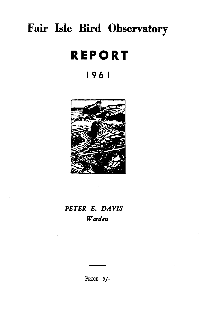# **Fair Isle Bird Observatory**

# **REPORT**

# I 96 I



# *PETER E. DAVIS Warden*

PRICE 5/-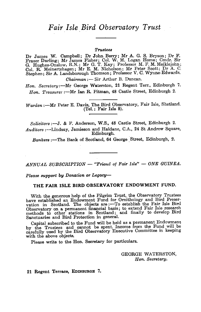# *Fair Isle Bird Observatory Trust*

#### *Trustees*

Dr James W. Campbell; Dr John Berry; Mr A. G. S. Bryson; Dr F. Fraser Darling; Mr James Fisher; Col. W. M. Logan Home; Cmdr. Sir G. Hughes-Onslow, R.N.; Mr G. T. Kay; Professor M. F. M. Meiklejohn; Col. R. Meinertzhagen; Mr E. M. Nicholson; Mr Peter Scott; Dr A. C. Stephen; Sir A. Landsborough Thomson; Professor V. C. Wynne-Edwards.

*Chairman* :- Sir Arthur B. Duncan.

*Hon. Secretary:-Mr* George Waterston, 21 Regent Terr., Edinburgh 7. Hon. Treasurer: - Mr Ian R. Pitman, 48 Castle Street, Edinburgh 2.

Warden :--- Mr Peter E. Davis, The Bird Observatory, Fair Isle, Shetland. (Tel.: Fair Isle 8).

*Solicitors* :-J. & F. Anderson, W.S., 48 Castle Street, Edinburgh 2. *Auditors* :-Lindsay, Jamieson and Haldane, C.A., 24 St Andrew Square, Edinburgh.

*Bankers* :--The Bank of Scotland, 64 George Street, Edinburgh, 2.

*ANNUAL SUBSORIPTION* - *"Friend of Fair Isle"* - *ONE GUINEA.* 

Please support by Donation or Legacy-

#### THE FAIR ISLE BIRD OBSERVATORY ENDOWMENT FUND.

With the generous help of the Pilgrim Trust, the Observatory Trustees have established an Endowment Fund for Ornithology and Bird Preservation in Scotland. The objects are :- To establish the Fair Isle Bird Observatory on a permanent financial basis; to extend Fair Isle research methods to other stations in Scotland; and finally to develop Bird Sanctuaries and Bird Protection in general.

Capital subscribed to the Fund will be held as a permanent Endowment by the Trustees and cannot be spent. Income from the Fund wiU be carefully used by the Bird Observatory Executive Committee in keeping with the above objects.

Please write to the Hon. Secretary for particulars.

GEORGE WATERSTON, *Hon. Secretary.* 

21 Regent Terrace, EDINBURGH 7.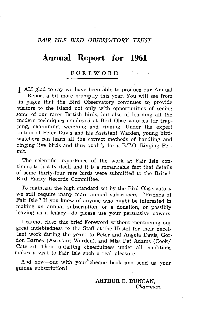## *FAIR ISLE BIRD OBSERVATORY TRUST*

# **Annual Report for 1961**

### FOREWORD

I AM glad to say we have been able to produce our Annual Report a bit more promptly this year. You will see from its pages that the Bird Observatory continues to provide visitors to the island not only with opportunities of seeing some of our rarer British birds, but also of learning all the modern techniques employed at Bird Observatories for trapping, examining, weighing and ringing. Under the expert tuition of Peter Davis and his Assistant Warden, young birdwatchers can learn all the correct methods of handling and ringing live birds and thus qualify for a B.T.O. Ringing Permit. .

The scientific importance of the work at Fair Isle continues to justify itself and it is a remarkable fact that details of some thirty-four rare birds were submitted to the British Bird Rarity Records Committee.

To maintain the high standard set by the Bird Observatory we still require many more annual subscribers--"Friends of Fair Isle." If you know of anyone who might be interested in making an annual subscription, or a donation, or possibly leaving us a legacy-do please use your persuasive powers.

I cannot close this brief Foreword without mentioning our great indebtedness to the Staff at the Hostel for their excellent work during the year: to Peter and Angela Davis, Gordon Barnes (Assistant Warden), and Miss Pat Adams (Cook/ Caterer). Their unfailing cheerfulness under all conditions makes a visit to Fair Isle such a real pleasure.

And now-out with your cheque book and send us your guinea subscription!

> ARTHUR B. DUNCAN, *Chairman.*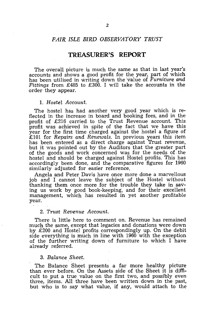### *FAIR ISLE BIRD OBSERVATORY TRUST*

## **TREASURER'S REPORT**

The overall picture is much the same as that in last year's accounts and shows a good profit for the year, part of which has been utilised in writing down the 'value of *Furniture* and *Fittings* from £485 to £300. I will take the accounts in the order they appear.

#### 1. *Hostel Account.*

The hostel has had another very good year which is reflected in the increase in board and booking fees, and in the profit of £216 carried to the Trust Revenue account. This profit was achieved in spite of the fact that we have this year for the first time charged against the hostel a figure of £101 for *Repairs and Renewals.* In previous years this item has been entered as a direct charge against Trust revenue, but it was pointed out by the Auditors that the greater part of the goods and work concerned was for: the needs of. the hostel and should be charged against Hostel profits. This has accordingly been done, and the comparative figures for 1960 similarly adjusted for easier reference.

Angela 'and Peter Davis have once more done a marvellous job and I cannot leave the subject of the Hostel without thanking them once more for the trouble they take in saving us work by good book-keeping, and for their excellent management, which has resulted in yet another profitable year.

#### *2. Trust Revenue Account.*

There is little here to comment on. Revenue has remained much the same, except that legacies and donations were down by £200 and Hostel profits correspondingly up. On the debit side everything is much in line with 1960 with the exception of the further writing down of furniture to which I have already referred.

#### *3. Balance Sheet.*

The Balance Sheet presents a far more healthy picture than ever before. On the Assets side of the Sheet it is difficult to put a true value on the first two, and possibly even three, items. All three have been written down in the past, but who is to say what value, if any, would attach to the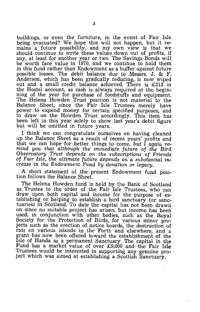buildings, or even the furniture, in the event of Fair Isle being evacuated? We hope this will not happen, but it remains a future possibility, and my own view is that we should continue to write these values down out of profits, if any, at least for another year or two. The Savings Bonds will be worth face value in 1970, and we continue to hold them in this fund rather than Endowment as a buffer against future possible losses. The debit balance due to Messrs. J. & F. Anderson, which has been gradually reducing, is now wiped out and a small credit balance achieved. There is £213 in the Hostel account, as cash is always required at the beginning of the year for purchase of foodstuffs and equipment. The Helena Howden Trust position is not material to the Balance Sheet, since the Fair Isle Trustees merely have power to expend money for certain specified purposes, and to draw on the Howden Trust accordingly. This item has been left in this year solely to show last year's debit figure but will be omitted in future years.

I think we can congratulate ourselves on having cleaned up the Balance Sheet as a result of recent years' profits and that we can hope for better things to come, *but* I *again remind you that although the immediate future* of *the Bird Observatory Trust depends on the subscriptions* of *Friends*  of *Fair Isle, the ultimate future depends on a substantial increase in the Endowment Fund by donation or legacy.* 

A short statement of the present Endowment fund position follows the Balance Sheet.

The Helena Howden fund is held by the Bank of Scotland as Trustee to the order of the Fair Isle Trustees, who can draw upon both capital and income for the purpose of establishing or helping to establish a bird sanctuary (or sanc-<br>tuaries) in Scotland. To date the capital has not been drawn on since no suitable project has arisen, but income has been used, in conjunction with other bodies, such as the Royal Society for the Protection of Birds, for various minor projects such as the erection of notice boards, the destruction of rats on various islands in the Forth and elsewhere, and a grant has now been offered toward the establishment of the Isle of Handa as a permanent Sanctuary. The capital in the Fund has a market value of over £9,000 and the Fair Isle Trustees would be interested in supporting any genuine project which was aimed at establishing a Scottish Sanctuary.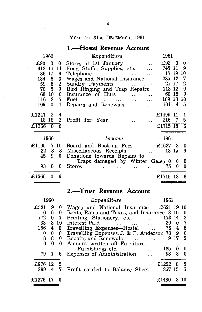# YEAR TO 31st DECEMBER, 1961.

# **I.-Hostel Revenue Account**

| 1960                                                                                                                                                                                         | Expenditure                                                                                                                                                                                                | 1961                                                     |                                                   |                                                    |
|----------------------------------------------------------------------------------------------------------------------------------------------------------------------------------------------|------------------------------------------------------------------------------------------------------------------------------------------------------------------------------------------------------------|----------------------------------------------------------|---------------------------------------------------|----------------------------------------------------|
| £90<br>0<br>0<br>11<br>612<br>11<br>17<br>36<br>6<br>184<br>3<br>6<br>$\overline{2}$<br>8<br>59<br>9<br>5<br>70<br>68<br>0<br>10<br>116<br>5 <sub>1</sub><br>$\overline{2}$<br>0<br>4<br>109 | Stores at 1st January<br>Food Stuffs, Supplies, etc.<br>Telephone<br>Wages and National Insurance<br>Sundry Payments<br>Bird Ringing and Trap Repairs<br>Insurance of Huts<br>Fuel<br>Repairs and Renewals | £93<br>745<br>17<br>235<br>21<br>113<br>60<br>109<br>101 | 0<br>-11<br>19<br>12<br>17<br>12<br>18<br>13<br>4 | 0<br>9<br>10<br>7<br>$\bf{2}$<br>9<br>9<br>10<br>5 |
| 2<br>£1347<br>4<br>$\overline{2}$<br>18<br>18<br>£1366<br>0<br>6                                                                                                                             | Profit for Year                                                                                                                                                                                            | £1499<br>216<br>£1715 18                                 | 11<br>7                                           | 1<br>5<br>6                                        |
| 1960                                                                                                                                                                                         | Income                                                                                                                                                                                                     | 1961                                                     |                                                   |                                                    |
| £1195<br>7<br>10<br>3<br>32<br>8<br>45<br>9<br>0                                                                                                                                             | Board and Booking Fees<br>Miscellaneous Receipts<br>Donations towards Repairs to                                                                                                                           | £1627<br>13                                              | -3<br>15                                          | €<br>6                                             |
| 93<br>0<br>0                                                                                                                                                                                 | Traps damaged by Winter Gales 0<br><b>Stores</b>                                                                                                                                                           | 75                                                       | U<br>0                                            | €<br>0                                             |
| £1366<br>0                                                                                                                                                                                   |                                                                                                                                                                                                            | £1715                                                    | -18                                               | 6                                                  |

# **2.-Trust Revenue Account**

|          | 1960 |              | Expenditure                                                                     | 1961   |     |     |
|----------|------|--------------|---------------------------------------------------------------------------------|--------|-----|-----|
| £521     | 9    | 0            | Wages and National Insurance $\text{\pounds}621$ 19 10                          |        |     |     |
| 6        | 6.   | 0            | Rents, Rates and Taxes, and Insurance 8 15                                      |        |     | 0   |
| 172      | 0    | $\mathbf{1}$ | Printing, Stationery, etc.                                                      | 113 14 |     | 2   |
| 33       |      | 3 10         | Interest Paid<br><b><i>Charles Committee States</i></b><br>$\cdots$<br>$\cdots$ | 30     | 0   | 7   |
| 156      | 4    | $\bf{0}$     | Travelling Expenses-Hostel                                                      | 76     | 4   | 8   |
| 0        | 0    | 0            | Travelling Expenses, J. & F. Anderson 78 9                                      |        |     | 0   |
| 8        | 8    | 0            | Repairs and Renewals                                                            |        | 917 | 2   |
| $\theta$ | 0    | 0            | Amount written off Furniture,                                                   |        |     |     |
|          |      |              | Furnishings etc.                                                                | 185    | o   | 0   |
| 79       |      | 6            | Expenses of Administration<br>$\cdots$                                          | 98     | 8   | 0   |
| £976.    | -12  | 5            |                                                                                 | £1222  | 8   | 5   |
| 399      | 4    | 7            | Profit carried to Balance Sheet                                                 | 257 15 |     | 5   |
|          |      |              |                                                                                 |        |     |     |
| £1375    |      |              |                                                                                 | £1480  | 3   | -10 |
|          |      |              |                                                                                 |        |     |     |

- 
- 
-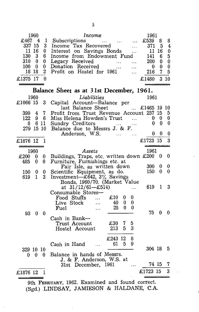|              | 1960                    |                  | Income                                                                                             |          | 1961                     |                |                  |
|--------------|-------------------------|------------------|----------------------------------------------------------------------------------------------------|----------|--------------------------|----------------|------------------|
| £467         | -4                      |                  | 1 Subscriptions                                                                                    |          | £539                     | 8              | 8                |
| 337 15       |                         | 3                | Subscriptions<br>Income Tax Recovered                                                              |          | 371                      | 5              | 4                |
|              | 11 16                   | $\mathbf{0}$     | Income Tax Recovered<br>Interest on Savings Bonds                                                  |          | - 11                     | 16             | $\boldsymbol{0}$ |
| 130          | $\overline{\mathbf{3}}$ | 6                | Interest on Bartings Theorem<br>Income from Endowment Fund<br>Legacy Received<br>Donation Received |          | 141                      | 6.             | $\overline{5}$   |
| 310 0        |                         | $\bf{0}$         |                                                                                                    |          | 200                      | $\bf{0}$       | $\bf{0}$         |
| 100          | $\bf{0}$                | $\bf{0}$         |                                                                                                    |          | - 0                      | 0              | $\bf{0}$         |
|              | 18 18                   | $\boldsymbol{2}$ | Profit on Hostel for 1961                                                                          |          | 216                      | $\overline{7}$ | 5                |
| £1375 17     |                         | 0                |                                                                                                    |          | £1480                    |                | 310              |
|              |                         |                  |                                                                                                    |          |                          |                |                  |
|              |                         |                  | Balance Sheet as at 31st December, 1961.                                                           |          |                          |                |                  |
|              | 1960                    |                  | Liabilities                                                                                        |          | -- 1961                  |                |                  |
| £1066 15     |                         | 3                | Capital Account-Balance per                                                                        |          |                          |                |                  |
|              |                         |                  | last Balance Sheet                                                                                 |          | $$ £1465 19 10           |                |                  |
| 399 4 7      |                         |                  | Profit from Trust Revenue Account 257 15                                                           |          |                          |                | 5                |
| 122          |                         | $9\quad 6$       | Miss Helena Howden's Trust $\ldots$ 0 0                                                            |          |                          |                | 0                |
|              |                         |                  | 8 6 11 Sundry Creditors<br>279 15 10 Balance due to Messrs J. & F.                                 | $\ldots$ | $\bf{0}$                 | 0              | 0                |
|              |                         |                  |                                                                                                    |          |                          |                |                  |
|              |                         |                  | Anderson, W.S.                                                                                     |          | $\overline{\phantom{0}}$ | 0              | $\boldsymbol{0}$ |
| £1876 12     |                         | 1                |                                                                                                    |          | £1723 15                 |                | 3                |
|              | 1960                    |                  | Assets                                                                                             |          | 1961                     |                |                  |
| $\pounds200$ | 0                       | 0                |                                                                                                    |          |                          | $\bf{0}$       | 0                |
| 485          | 0                       | 0                | Buildings, Traps, etc. written down £200<br>Furniture, Furnishings etc. at                         |          |                          |                |                  |
|              |                         |                  | Fair Isle, as written down                                                                         |          | <b>300</b>               | $\bf{0}$       | 0                |
| 150          | 0                       | 0                | Scientific Equipment, as do.                                                                       |          | 150                      | $\theta$       | 0                |
| 619          | $\mathbf{1}$            | $3 -$            | Investment-£642, 3% Savings                                                                        |          |                          |                |                  |
|              |                         |                  | Bonds, 1960/70. (Market Value                                                                      |          |                          |                |                  |
|              |                         |                  | at $31/12/61 - £514$                                                                               |          | 619                      | $\mathbf{1}$   | 3                |
|              |                         |                  |                                                                                                    | $\cdots$ |                          |                |                  |
|              |                         |                  | Consumable Stores-<br>£100<br>- 0                                                                  |          |                          |                |                  |
|              |                         |                  | Food Stuffs<br>0<br>0                                                                              |          |                          |                |                  |
|              |                         |                  | Live Stock<br>40<br>25<br>0<br>0                                                                   |          |                          |                |                  |
|              |                         |                  | Fuel<br>$\dddotsc$                                                                                 |          | 75                       | 0              | 0                |
| 93           | 0                       | 0                |                                                                                                    |          |                          |                |                  |
|              |                         |                  | Cash in Bank—<br>$\pounds30$<br>Trust Account<br>5<br>7                                            |          |                          |                |                  |
|              |                         |                  | 3<br>213<br>5                                                                                      |          |                          |                |                  |
|              |                         |                  | Hostel Account                                                                                     |          |                          |                |                  |
|              |                         |                  | £243 12<br>8                                                                                       |          |                          |                |                  |
|              |                         |                  | - 5<br>61<br>9<br>Cash in Hand<br>$\ddotsc$                                                        |          |                          |                |                  |
| 329 10 10    |                         |                  |                                                                                                    |          | 304 18                   |                | 5                |
| 0            | $\mathbf{0}$            | $0 -$            | Balance in hands of Messrs.                                                                        |          |                          |                |                  |
|              |                         |                  | J. & F. Anderson, W.S. at                                                                          |          |                          |                |                  |
|              |                         |                  | 31st December, 1961                                                                                | $\cdots$ |                          | 74 15          | 7                |
|              |                         | 1                |                                                                                                    |          | £1723 15                 |                | 3                |
| £1876 12     |                         |                  |                                                                                                    |          |                          |                |                  |

9th FEBRUARY, 1962. Examined and found correct. (Sgd.) LINDSAY, JAMIESON & HALDANE, C.A.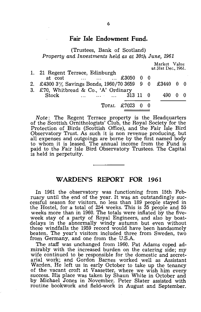## **Fair Isle Endowment Fund.**

(Trustees, Bank of Scotland) *Property and Investments held as at 30th June, 1961* 

|                                                          | Market Value        |  |
|----------------------------------------------------------|---------------------|--|
| 1. 21 Regent Terrace, Edinburgh                          | at 31st Dec., 1961. |  |
| at cost    £3050 0 0                                     |                     |  |
| 2. £4300 $3\%$ Savings Bonds, 1960/70 3659 9 0 £3440 0 0 |                     |  |
| 3. £70, Whitbread & Co., 'A' Ordinary                    |                     |  |
| $\dots$ $\dots$ $\dots$ $313$ 11 0<br><b>Stock</b>       | 490                 |  |
|                                                          |                     |  |
| TOTAL £7023 0 0                                          |                     |  |

*Note:* The Regent Terrace property is the Headquarters of the Scottish Ornithologists' Club, the Royal Society for the Protection of Birds (Scottish Office), and the Fair Isle Bird Observatory Trust. As such it is non revenue producing, but all expenses and outgoings are borne by the first named body to whom it is leased. The annual income from the Fund is paid to the Fair Isle Bird Observatory Trustees. The Capital is held in perpetuity.

### **WARDEN'S REPORT FOR 1961**

In 1961 the observatory was functioning from 15th February until the end of the year. It was an outstandingly successful season for visitors, no less than 189 people stayed in the Hostel, for al total of 254 weeks. This is 35 people and 55 weeks more than in 1960. The totals were inflated 'by the fiveweek stay of a party of Royal Engineers, and also by boatdelays in the abnormally windy autumn but even without these windfalls the 1959 record would have been handsomely beaten. The year's visitors included three from Sweden, two from Germany, and one from the U.S.A.

The staff was unchanged from 1960. Pat Adams coped admirably with the increased burden on the catering side; my wife continued to be responsible for the domestic and secretarial work; and Gordon Barnes worked well as Assistant Warden. He left us in early October to take up the tenancy of the vacant croft at Vaasetter, where we wish him every success. His place was taken by Shaun White in October and by Michael Jones in November. Peter Slater assisted with routine bookwork and field-work in August and September.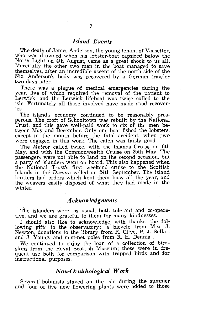# *Island E'Vents*

The death of James Anderson, the young tenant of Vaasetter, who was drowned when his lobster-boat capsized below the North Light on 4th August, came as a great shock to us all. Mercifully the other two men in the boat managed to save themselves, after an incredible ascent of the north side of the Niz. Anderson's body was recovered by a German trawler two days later.

There was a plague of medical emergencies during the year, five of which required the removal of the patient to Lerwick, and the Lerwick lifeboat was twice called to the isle. Fortunately all those involved have made good recoveries.

The island's economy continued to be reasonably prosperous. The croft of Schooltown was rebuilt by the National Trust, and this gave well-paid work to six of the men between May and December. Only one boat fished the lobsters, except in the month before the fatal accident, when two were engaged in this work. The catch was fairly good.

The *Meteor* called twice, with the Islands Cruise on 6th May, and with the Commonwealth Cruise on 25th May. The passengers were not able to land on the second occasion, but a party of islanders went on board. This also happened when the National Trust's first weekend cruise to the Scottish Islands in the *Dunera* called on 24th September. The island knitters had orders which kept them busy all the year, and the weavers easily disposed of what they had made in the winter.

# *A cknowled gments*

The islanders were, as usual, both tolerant and co-operative, and we are grateful to them for many kindnesses.

I should also like to acknowledge, with thanks, the following gifts to the observatory: a bicycle from Miss J. Newton, donations to the library from R. Clive, P. J. Sellar, and J. Young, and mist-net poles from R. H. Dennis .

We continued to enjoy the loan of a collection of birdskins from the Royal Scottish Museum; these were in frequent use both for comparison with trapped birds and for instructional purposes.

### *Non-Ornithological Work*

Several botanists stayed on the isle during the summer and four or five new flowering plants were added to those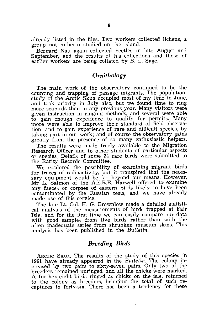already listed in the files. Two workers collected lichens, a group not hitherto studied on the island.

Bernard Nau again collected beetles in late August and September, and the results of his collections and those of earlier workers are being collated by B. L. Sage.

# *Ornithology*

The main work of the observatory continued to be the counting and trapping of passage migrants. The populationstudy of the Arctic Skua occupied most of my time in June, and took priority in July also, but we found time to ring more seabirds than in any previous year. Many visitors were given instruction in ringing methods, and several were able to gain enough experience to qualify for permits. Many more were able to improve their standard of field observation, and to gain experience of rare and difficult species, by taking part in our work; and of course the observatory gains greatly from the presence of so many enthusiastic helpers.

The results were made freely available to the Migration Research Officer and to other students of particular aspects or species. Details of some 34 rare birds were submitted to the Rarity Records Committee.

We explored the possibility of examining migrant birds for traces of radioactivity, but it transpired that the necessary equipment would be far beyond our means. However, Mr L. Salmon of the A.E.R.E. Harwell offered to examine any faeces or corpses of eastern birds likely to have been contaminated by the Russian tests, and we have already made use of this service.

The late Lt. Col. H. G. Brownlow made a detailed statistical analysis of the measurements of birds trapped at Fair Isle, and for the first time we can easily compare our data with good samples from live birds rather than with the often inadequate series from shrunken museum skins. This analysis has been published in the *Bulletin.* 

# *Breeding Birds*

ARCTIC SKUA. The results of the study of this species in 1961 have already appeared in the *Bulletin.* The colony increased by two pairs to sixty-seven pairs. Only two of the breeders remained unringed, and all the chicks were marked. A further eight birds ringed as chicks on the isle, returned to the colony as breeders, bringing the total of such recaptures to forty-six. There has been a tendency for these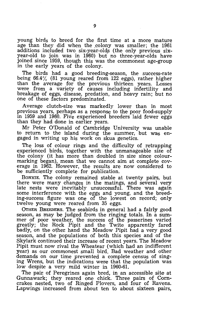young birds to breed for the first time at a more mature age than they did when the colony was smaller; the 1961 additions included two six-year-olds (the only previous sixyear-old to join was in 1960) but no three-year-olds have joined since 1959, though this was the commonest age-group in the early years of the colony.

The birds had a good breeding-season, the success-rate being 66.4% (81 young reared from 122 eggs), rather higher than the average for the previous thirteen years. Losses were from a variety of causes including infertility and breakage of eggs, disease, predation, and heavy rain; but no one of these factors predominated.

Average clutch-size was markedly lower than in most previous years, perhaps as a response to the poor food-supply in 1959 and 1960. Five experienced breeders laid fewer eggs than they had done in earlier years.

Mr Peter O'Donald of Cambridge University was unable to return to the island during the summer, but was engaged in writing up his work on skua genetics.

The loss of colour rings and the difficulty of retrapping experienced birds, together with the unmanageable size of the colony (it has more than doubled in size since colourmarking began), mean that we cannot aim at complete coverage in 1962. However, the results are now considered to be sufficiently complete for publication.

BONXIE. The colony remained stable at twenty pairs, but there were many changes in the matings, and several very late nests were inevitably unsuccessful. There was again some interference with the eggs and young, and the breeding-success figure was one of the lowest on record; only twelve young were reared from 35 eggs.

OTHER BREEDERS. The seabirds in general had a fairly good season, as may be judged from the ringing totals. In a summer of poor weather, the success of the passerines varied greatly; the Rock Pipit and the Twite apparently fared badly, on the other hand the Meadow Pipit had a very good season, and the populations of both this species and of the Skylark continued their increase of recent years. The Meadow Pipit must now rival the Wheatear (which had an indifferent year) as our commonest small bird. Bad weather and other demands on our time prevented a complete census of singing Wrens, but the indications were that the population was low despite a very mild winter in 1960-61.

The pair of Peregrines again bred, in an accessible site at Gunnawark; they reared one chick. Three pairs of Corncrakes nested, two of Ringed Plovers, and four of Ravens. Lapwings increased from about ten to about sixteen pairs,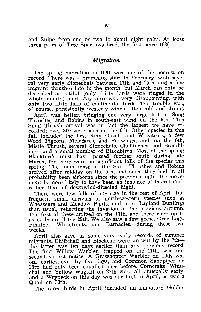and Snipe from one or two to about eight pairs. At least three pairs of Tree Sparrows bred, the first since 1936.

# *Migration*

The spring migration in 1961 was one of the poorest on record. There was a promising start in February, with several very early Stonechats between 17th and 25th, and a few migrant thrushes late in the month, but March can only be described as pitiful (only thirty birds were ringed in the whole month), and May also was very disappointing, with only two little falls of continental birds. The trouble was, of course, persistently westerly winds, often cold and strong.

April was better, bringing one very large fall of Song Thrushes and Robins in south-east wind on the 5th. This Song Thrush arrival was in fact the largest we have recorded; over 800 were seen on the 6th. Other species in this fall included the first Ring Ouzels and Wheatears, a few Wood Pigeons, Fieldfares, and Redwings; and, on the 6th, Mistle Thrush, several Stonechats, Chaffinches, and Bramblings, and a small number of Blackbirds. Most of the spring Blackbirds must have passed further south 'during late March, for there were no significant falls of the species this spring. The main mass of the Song Thrushes and Robins arrived after midday on the 5th, and since they had in all probability been airborne since the previous night, the movement is more likely to have been an instance of lateral drift rather than of downwind-directed flight.

There were few falls of any size in the rest of April, but frequent small arrivals of north-western species such as Wheatears and Meadow Pipits, and more Lapland Buntings than usual, reflecting the invasion of the previous autumn. The first of these arrived on the 17th, and there were up to six daily untill the 29th. We also saw a few geese, Grey Lags, Pinkfeet, Whitefronts, and Barnacles, during these two weeks.

April also gave us some very early records of summer migrants. Chiffchaff and Blackcap were present by the 7ththe latter was ten days earlier than any previous record. The first Willow Warbler, trapped on the 11th, was our second-earliest notice. A Grasshopper Warbler on 16th was our earliest-ever by five days, and Common Sandpiper on 23rd had only been equalled once before. Corncrake, Whinchat and Yellow Wagtail on 27th were all unusually early, and a Wryneck on this day was our first in April, as was a Quail on 30th.

The rarer birds in April included an immature Golden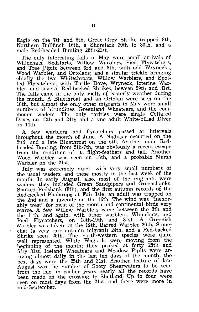Eagle on the 7th and 8th, Great Grey Shrike trapped 8th, Northern Bullfinch 16th, a Shorelark 20th to 30th, and a male Red-headed Bunting 20th-21st.

The only interesting falls in May were small arrivals of Whinchats, Redstarts, Willow Warblers, Pied Flycatchers, and Tree Pipits between 3rd and 8th, with odd Wrynecks, Wood Warbler, and Ortolans; and a similar trickle bringing chiefly the two Whitethroats, Willow Warblers, and Spotted Flycatchers, with Turtle Dove, Wryneck, Icterine Warbler, and several Red-backed Shrikes, beween 29th and 31st. The falls came in the only spells of easterly weather during the month. A Bluethroat and an Ortolan were seen on the 18th, but almost the only other migrants in May were small numbers of hirundines, Greenland Wheatears, and the commoner waders. The only rarities were single Collared Doves on 12th and 24th and a vne adult White-billed Diver on 14th.

A few warblers and flycatchers passed at intervals throughout the month of June. A Nightjar occurred on the 2nd, and a late Bluethroat on the 5th. Another male Redheaded Bunting, from 5th-7th, was obviously a recent escape from the condition of its flight-feathers and tail. Another Wood Warbler was seen on 18th, and a probable Marsh Warbler on the 21st.

. July was extremely quiet, with very small numbers of the usual waders, and these mostly in the last week of the month. In early August, also, most of the migrants were waders; they included Green Sandpipers and Greenshanks, Spotted Redshank (8th), and the first autumn records of the Red-necked Phalarope at Fair Isle; an adult was trapped on the 2nd and a juvenile on the 16th. The wind was "inexorably west" for most of the month and continental birds very scarce. A few Willow Warblers came between the 8th and the 11th, and again, with other warblers, Whinchats, and Pied Flycatchers, on 18th-19th and 31st. A Greenish Warbler was taken on the 19th, Barred Warbler 20th, Stonechat (a very rare autumn migrant) 24th, and a Red-backed Shrike seen 25th. The north-western species were quite well represented. White Wagtails were moving from the beginning of the month; they peaked at forty 25th and fifty 31st. Iceland Wheatears and Meadow Pipits were arriving almost daily in the last ten days of the month; the best days were the 25th and 31st. Another feature of late August was the number of Sooty Shearwaters to be seen from the isle, in earlier years nearly all 'the records have been made on the crossing to Shetland. Up to four were seen on most days from the 21st, and there were more in mid-September.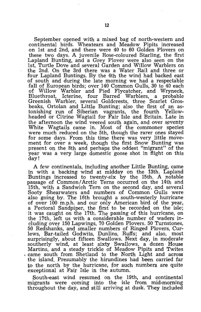September opened with a mixed bag of north-western and continental birds. Wheatears and Meadow Pipits increased on 1st and 2nd, and there were 40 to 60 Golden Plovers on these two days. A juvenile Rose-coloured Starling, the first Lapland Bunting, and a Grey Plover were also seen on the 1st, Turtle Dove and several Garden and Willow Warblers on the 2nd. On the 3rd there was a Water Rail and three or four Lapland Buntings. By the 4th the wind had backed east of south and during the late morning we had a respectable fall of European birds; over 140 Common Gulls, 30 to 40 each of Willow Warbler and Pied Flycatcher, and Wryneck, Bluethroat, Icterine, four Barred Warblers, a probable Greenish Warbler, several Goldcrests, three Scarlet Grosbeaks, Ortolan and Little Bunting; also the first of an astonishing run of Siberian vagrants, the fourth Yellowheaded or Citrine Wagtail for Fair Isle and Britain. Late in the afternoon the wind veered south again, and over seventy White Wagtails came in. Most of the commoner species were much reduced on the 5th, though the rarer ones stayed for some days. From this time there was very little movement for over a week, though the first Snow Bunting was present on the 8th and perhaps the oddest "migrant" of the year was a very large domestic goose shot in flight on this day!

A few continentals, including another Little Bunting, came in with a backing wind at midday on the 13th. Lapland Buntings increased to twenty-six by the 15th. A notable passage of Common/Arctic Terns occurred on the 14th and 15th, with a Sandwich Tern on the second day, and several Sooty Shearwaters and numbers of Common Gulls were also going by. The 16th brought a south-westerly hurricane of over 100 m.p.h. and our only American bird of the year, a Pectoral Sandpiper, the first to be recorded on the isle; it was caught on the 17th. The passing of this hurricane, on the 17th, left us with a considerable number of waders including over 150 Lapwings, 70 Golden Plovers. 50 Turnstones, 50 Redshanks, and smaller numbers of Ringed Plovers, Curlews, Bar-tailed Godwits, Dunlins, Ruffs; and also, most surprisingly, about fifteen Swallows. Next day, in moderate southerly wind, at least sixty Swallows, a dozen House Martins, and a steady trickle of Meadow Pipits and Twites . came south from Shetland to the North Light and across the island. Presumably the hirundines had been carried far to the north by the hurricane, for such numbers are quite exceptional at Fair Isle in the autumn.

South-east wind resumed on the 19th, and continental migrants were coming into the isle from mid-morning throughout the day, and still arriving at dusk. They included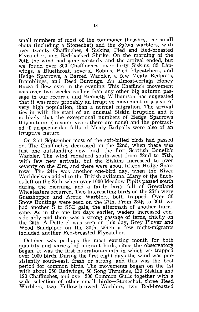small numbers of most of the commoner thrushes, the small chats (including a Stonechat) and the *Sylvia* warblers, with uver twenty Chaffinches, 4 Siskins, Pied and Red-breasted Flycatcher, and Red-backed Shrike. On the morning of the 20th the wind had gone westerly and the arrival ended, but we found over 300 Chaffinches, over forty Siskins, 85 Lapwings, a Bluethroat, several Robins, Pied Flycatchers, and Hedge Sparrows, a Barred Warbler, a few Mealy Redpolls, Bramblings, and Reed Buntings. An almost-certain Honey Buzzard flew over in the evening. This Chaffinch movement was over two weeks earlier than any other big autumn passage in our records, and Kenneth Williamson has suggested that it was more probably an irruptive movement in a year of very high population, than a normal migration. The arrival ties in with the start of an unusual Siskin irruption and it is likely that the exceptional numbers of Hedge Sparrows this autumn (in some years there are none) and the protracted if unspectacular falls of Mealy Redpolls were also of an irruptive nature.

On 21st September most of the soft-billed birds had passed on. The Chaffinches decreased on the 22nd, when there was just one outstanding new bird, the first Scottish Bonelli's Warbler. The wind remained south-west from 22nd to 27th, with few new arrivals, but the Siskins increased to over seventy on the 23rd, and there were about fifteen Hedge Sparrows. The 24th was another one-bird day, when the River Warbler was added to the British avifauna. Many of the finches left on the 25th, when over 1000 Meadow Pipits passed south during the morning, and a fairly large fall of Greenland Wheateaters occurred. Two intereseting birds on the 25th were Grasshopper and Arctic Warblers, both trapped. Over 80 Snow Buntings were seen on the 27th. From 28th to 30th we had another S to SSE gale, the aftermath of another hurricane. As in the one ten days earlier, waders increased considerably and there was a strong passage of terns, chiefly on the 29th. A Dotterel was seen on this day, Grey Plover and Wood Sandpiper on the 30th, when a few night-migrants included another Red-breasted Flycatcher.

October was perhaps the most exciting month for both quantity and variety of migrant birds, since the observatory began. It was the first migration-month in which we trapped over 1000 birds. During the first eight days the wind was persistently south-east, fresh or strong, and this was the best period for common birds. The movements began on the 1st with about 250 Redwings, 50 Song Thrushes, 120 Siskins and 120 Chaffinches, and over 200 Common Gulls together with a wide selection of other small birds—Stonechat, three Reed Warblers, two Yellow-browed Warblers, two Red-breasted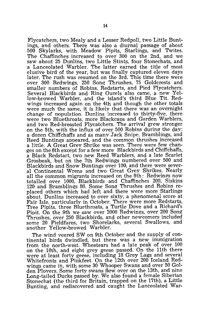Flycatchers, two Mealy and a Lesser Redpoll, two Little Buntings, and others. There was also a diurnal passage of about 500 Skylarks, with Meadow Pipits, Starlings, and Twites. The Chaffinches increased to over 300 on the 2nd, and we saw about 25 Dunlins, two Little Stints, four Stonechats, and a Lanceolated Warbler. The latter earned the title of most elusive bird of the year, but was finally captured eleven days later. The rush was resumed on the 3rd. This time there were over 300 Redwings, 250 Song- Thrushes, 75 Goldcrests and smaller numbers of Robins, Redstarts, and Pied Flycatchers. Several Blackbirds and Ring Ouzels also came, a new Yellow-browed Warbler, and the island's third Blue Tit. Redwings increased again on the 4th and though the other totals were much the same, it is likely that there was an overnight change of oopulation. Dunlins increased to thirty-five, there were two Bluethroats. more Blackcaos and Garden Warblers, and two Red-breasted Flycatchers. The arrival grew stronger on the 5th, with the influx of over 500 Robins during the day: a dozen Chiffchaffs and as many Jack Snipe. Bramblings, and Reed Buntings appeared, and the common thrushes increased a little. A Great Grev Shrike was seen. There were few changes on the 6th except for a few more Blackbirds and Chiffchaffs, a Black Redstart, two new Reed Warblers, and a late Scarlet Grosbeak, but on the 7th Redwings numbered over 500 and Blackbirds and Snow Buntings over 100, and there were several Continental Wrens and two Great Grey Shrikes. Nearly all the common migrants increased on the 8th: Redwings now totalled over 1000, Blackbirds and Chaffinches 200, Siskins 120 and Bramblings 80. Some Song Thrushes and Robins replaced others which had left and there were more Starlings about. Dunlins increased to over sixty, a phenomenal score at Fair Isle, particularly in October. There were more Redstarts, Tree Pipits. three Bluethroats, a Turtle Dove and a Richard's Pipit. On the 9th we saw over 2000 Redwings, over 200 Song Thrushes, over 250 Blackbirds, and other newcomers included some 20 Fieldfares, two Shorelarks, several Swallows, and another Yellow-browed Warbler.

The wind veered SW on 9th October and the supply of continental birds dwindled, but there was a new immigration from the north-west. Wheatears had a late peak of over 100 on the 10th, and eight grey geese passed. On the 11th there were at least forty geese, including 18 Grey Lags and several Whitefronts and Pinkfeet. On the 12th over 200 Iceland Redwings came in, with some 30 Whooper Swans and over 50 Golden Plovers. Some forty swans flew over on the 13th, and nine Long-tailed Ducks passed by. We also found a female Siberian Stonechat (the third for Britain, trapped on the 17th), a Little Bunting, and rediscovered and caught the Lanceolated War-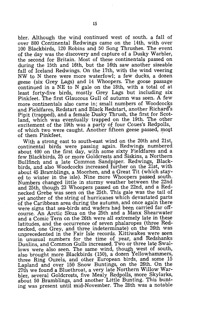bIer. Although the wind continued west of south. a fall of over 800 Continental Redwings came on the 14th, with over 100 Blackbirds, 120 Robins and 50 Song Thrushes. The event of the day was the discovery and capture of a Dusky Warbler, the second for Britain. Most of these continentals passed on during the 15th and 16th, but the 16th saw another sizeable fall of Iceland Redwings. On the 17th, with the wind veering NW to N there were more waterfowl; a few ducks, a dozen geese (six Grey Lags) and 14 Whoopers. The goose passage continued in a NE to N gale on the 18th, with a total of at least forty-five birds, mostly Grey Lags but including six Pinkfeet. The first Glaucous Gull of autumn was seen. A few more continentals also came in; small numbers of Woodcocks and Fieldfares, Redstart and Black Redstart, another Richard's Pipit (trapped), and a female Dusky Thrush, the first for Scotland, which was eventually trapped on the 19th. The other excitement of the 19th was a party of four Coues's Redpolls, of which two were caught. Another fifteen geese passed, mo§t of them Pinkfeet.

With a strong east to south-east wind on the 20th and 21st, continental birds were passing again. Redwings numbered about 400 on the first day, with some sixty Fieldfares and a few Blackbirds, 25 or more Goldcrests and Siskins, a Northern Bullfinch and a late Common Sandpiper. Redwings, Blackbirds, and also Woodcocks increased further on the 21st, with about 45 Bramblings, a Moorhen, and a Great Tit (which stayed to winter in the isle). Nine more Whoopers passed south. Numbers changed little in stormy weather between the 22nd and 25th, though 23 Whoopers passed on the 22nd, and a Rednecked Grebe was seen on the 25th. This gale was the tail of yet another of the string of hurricanes which devastated parts of the Caribbean area during the autumn, and once again there were signs that sea-birds and waders had been carried far offcourse. An Arctic Skua on the 25th and a Manx Shearwater and a Comic Tern on the 26th were all extremely late in these latitudes, and the occurrence of seven phalaropes (three Rednecked, one Grey, and three indeterminate) on the 26th was unprecedented in the Fair Isle records. Kittiwakes were seen in unusual numbers for the time of year, and Redshanks Dunlins, and Common Gulls increased. Two or three late Swallows were also seen. The same wind, though west of south, also brought more Blackbirds (150), a dozen Yellowhammers, three Ring Ouzels, and other European birds, and some 15 Lapland and over 150 Snow Buntings, on the 26th. On the 27th we found a Bluethroat, a very late Northern Willow Warbler, several Goldcrests, five Mealy Redpolls, more Skylarks, about 50 Bramblings, and another Little Bunting. This bunting was present until mid-November. The 28th was a notable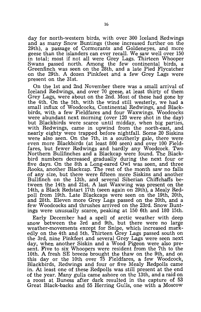day for north-western birds, with over 300 Iceland Redwings and as many Snow Buntings (these increased further on the 29th), a passage of Cormorants and Goldeneyes, and more geese than the islanders can ever recall. We saw well over 150 in total; most if not all were Grey Lags. Thirteen Whooper Swans passed north. Among the few continental birds, a Greenfinch was seen on the 28th, and a late Pied Flycatcher on the 29th. A dozen Pinkfeet and a few Grey Lags were present on the 31st.

On the 1st and 2nd November there was a small arrival of Iceland Redwings, and over 70 geese, at least thirty of them Grey Lags, were about on the 2nd. Most of these had gone by the 4th. On the 5th, with the wind still westerly, we had a small influx of Woodcocks, Continental Redwings, and Blackbirds, with a few Fieldfares and four Waxwings. Woodcocks were abundant next morning (over 120 were shot in the day) but Blackbirds were scarce until midday, when big parties, with Redwings, came in upwind from the north-east, and nearly eighty were trapped before nightfall. Some 20 Siskins were also seen. On the 7th, in a southerly gale, there were *even* more Blackbirds (at least 800 seen) and over 100 Fieldfares, but fewer Redwings and hardly any Woodcock. Two Northern Bullfinches and a Blackcap were found. The Blackbird numbers decreased graduaUy during the next four or five days. On the 8th a Long-eared Owl was seen, and three Rooks, another Blackcap. The rest of the month saw no falls of any size, but there were fifteen more Siskins and another Bullfinch on the 13th, and several Siberian Chiffchaffs between the 14th and 21st. A last Waxwing was present on the 14th, a Black Redstart 17th (seen again on 29th), a Mealy Redpoll from 19th. Late Blackcaps were seen on the 19th, 20th, and 28th. Eleven more Grey Lags passed on the 20th, and a few Woodcocks and thrushes arrived on the 23rd. Snow Buntings were unusually scarce, peaking at 150 6th and 180 15th.

Early December had a spell of arctic weather with deep snow between the 3rd and 9th, but there were no large weather-movements except for Snipe, which increased markedly on the 4th and 5th. Thirteen Grey Lags passed south on the 3rd, nine Pinkfeet and several Grey Lags were seen next day, when another Siskin and a Wood Pigeon were also present. Five to six Whoopers were resident from the 7th to the 10th. A fresh SE breeze brought the thaw on the 9th, and on this day or the 10th over  $75$  Fieldfares, a few Woodcock, Blackbirds, Redwings and four or five Mealy Redpolls came in. At least one of these Redpolls was still present at the end of the year. Many gulls came ashore on the 13th, and a raid on a roost at Buness after dark resulted in the capture of 53 Great Black-backs and 55 Herring Gulls, one with a Moscow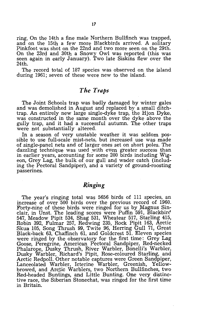ring. On the 14th a fine male Northern Bullfinch was trapped, and on the 15th a few more Blackbirds arrived. A solitary Pinkfoot was shot on the 22nd and two more seen on the 29th. On the 23rd and 30th a Snowy Owl was reported (this was seen again in early January). Two late Siskins flew over the 24th.

The record total of 187 species was observed on the island during 1961; seven of these were new to the island.

# *The Traps*

The Joint Schools trap was badly damaged by winter gales and was demolished in August and replaced by a small ditchtrap. An entirely new large single-dyke trap, the Hjon Dyke, was constructed in the same month over the dyke above the gully trap, and it had a successful autumn. The other traps were not substantially altered.

In a season of very unstable weather it was seldom possible to use full-scale mist-nets, but increased use was made of single-panel nets and of larger ones set on short poles. The dazzling technique was used with even greater success than in earlier years, accounting for some 200 birds including Wigean, Grey Lag, the bulk of our gull and wader catch (including the Pectoral Sandpiper), and a variety of ground-roosting passerines.

# *Ring,ing*

The year's ringing total was 5656 birds of 111 species, an increase of over 500 birds over the previous record of 1960. Forty-nine of these birds were ringed for us by Magnus Sinclair, in Unst. The leading scores were Puffin 591, Blackbirf 547, Meadow Pipit 534, Shag 531, Wheatear 517, Starling 415, Robin 392, Fulmar 257, Redwing 235, Rock Pipit 163, Arctic Skua 105, Song Thrush 99, Twite 96, Herring Gull 71, Great Black-back 63, Chaffinch 61, and Goldcrest 51. Eleven species were ringed by the observatory for the first time: Grey Lag Goose, Peregrine, American Pectoral Sandpiper, Red-necked Phalarope, Dusky Thrush, River Warbler, Bonelli's Warbler, Dusky Warbler, Richard's Pipit, Rose-coloured Starling, and Arctic Redpoll. Other notable captures were Green Sandpiper, Lanceolated Warbler, Icterine Warbler, Greenish, Yellowbrowed, and Arctic Warblers, two Northern Bullfinches, two Red-headed Buntings, and Little Bunting. One very distinctive race, the Siberian Stonechat, was ringed for the first time in Britain.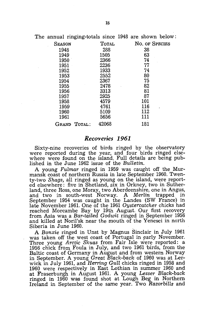The annual ringing-totals since 1948 are shown below:

| <b>SEASON</b> | <b>TOTAL</b> | No. of Species |
|---------------|--------------|----------------|
| 1948          | 288          | 38             |
| 1949          | 1505         | 63             |
| 1950          | 2366         | 74             |
| 1951          | 2236         | 77             |
| 1952          | 1933         | 74             |
| 1953          | 2552         | 80             |
| 1954          | 2367         | 75             |
| 1955          | 2478         | 82             |
| 1956          | 3313         | 81             |
| 1957          | 2925         | 87             |
| 1958          | 4579         | 101            |
| 1959          | 4761         | 116            |
| 1960          | 5109         | 112            |
| 1961          | 5656         | 111            |
| GRAND TOTAL:  | 42068        | 181            |

#### *Reco'Yeries* **1961**

Sixty-nine recoveries of birds ringed by the observatory were reported during the year, and four birds ringed elsewhere were found on the island. Full details are being published in the June 1962 issue of the *Bulletin.* 

A young *Fulmar* ringed in 1959 was caught off the Murmansk coast of northern Russia in late September 1960. Twenty-two *Shags,* all ringed as young on the island, were reported elsewhere: five in Shetland, six in Orkney, two in Sutherland, three Ross, one Moray, two Aberdeenshire, one in Angus, and two in south-west Norway. A *Merlin* trapped in September 1954 was caught in the Landes (SW France) in late November 1961. One of the 1961 *Oystercatcher* chicks had reached Morcambe Bay by 19th August. Our first recovery from Asia was a *Bar-tailed Godwit* ringed in September 1956 and killed at Noril'sk near the mouth of the Yenesei in north Siberia in June 1960.

A *Bonxie* ringed in Unst by Magnus Sinclair in July 1961 was taken off the west coast of Portugal in early November. Three young *Arctic Skuas* from Fair Isle were reported: a 1956 chick from Foula in July, and two 1961 birds, from the Baltic coast of Germany in August and from western Norway in September. A young *Great Black-back* of 1960 was at Lerwick in July 1961, and *Herring Gull* chicks ringed in 1958 and 1960 were respectively in East Lothian in summer 1960 and at Fraserburgh in August 1961. A young *Lesser Black-back*  ringed in 1960 was found shot at Lough Beg in Northern Ireland in September of the same year. Two *Razorbills* and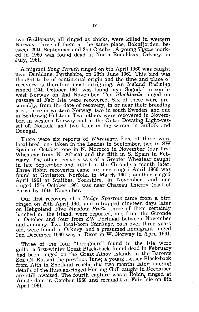two *Guillemots*, all ringed as chicks, were killed in western Norway; three of them at the same place, Boknfjorden, between 29th September and 2nd October. A young *Tystie* marked in 1960 was found dead at North Ronaldsay, Orkney, in July, 1961..

A migrant *Song Thrush* ringed on 6th April 1960 was caught near Dunblane, Perthshire, on 28th June 1961. This bird was thought to be of continental origin and the time and place of recovery is therefore most intriguing. An *Iceland Redwing*  ringed 12th October 1961 was found near Sogndal in southwest Norway on 2nd November. Ten *Blackbirds* ringed on passage at Fair Isle were recovered. Six of these were presumably, from the date of recovery, in or near their breeding area, three in western Norway, two in south Sweden, and one in Schleswig-Holstein. Two others were recovered in November, in western Norway and at the Outer Dowsing Light-vessel off Norfolk; and two later in the winter in Suffolk and Donegal.

There were six reports of *Wheatears.* Five of these were local-bred; one taken in the Landes in September, two in SW Spain in October, one in N. Morocco in November (our first Wheatear from N. Africa) and the fifth in S. Spain in February. The other recovery was of a Greater Wheatear caught in late September and killed in the Gironde a month later. Three *Robin* recoveries came in: one ringed April 1960 was found at Gorleston, Norfolk, in March 1961; another ringed April 1961 at Staithes, Yorkshire, in November; and one ringed 12th October 1961 was near Chateau Thierry (east of Paris) by 16th November.

Our first recovery of a *Hedge Sparrow'* came from a bird ringed on 29th April 1961 and retrapped nineteen days later on Heligoland. Five *Meadow Pipits,* three of them certainly hatched on the island, were reported, one from the Gironde in October and four from SW Portugal between November and January. Two local-born *Starlings,* both over three years old, were found in Orkney, and a presumed immigrant ringed 2nd December 1960 was at Risor in W. Norway in April 1961.

Three of the four "foreigners" found in the isle were gulls: a first-winter Great Black-back found dead in February had been ringed on the Great Ainov Islands in the Barents Sea (N. Russia) the previous June; a young Lesser Black-back from Aith in Shetland reache dus two months later; ringing details of the Russian-ringed Herring Gull caught in December are still awaited. The fourth capture was a Robin, ringed at Amsterdam in October 1960 and recaught at Fair Isle on 6th April 1961.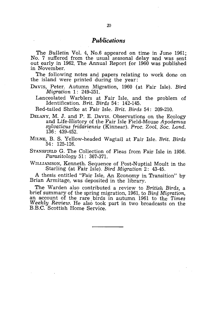# *Publications*

The *Bulletin* Vol. 4, No.6 appeared on time in June 1961; No. 7 suffered from the usual seasonal delay and was sent out early in 1962. The Annual Report for 1960 was published in November.

The following notes and papers relating to work done on the island were printed during the year:

- DAVIS, Peter. Autumn Migration, 1960 (at Fair Isle). *Bird Migrartion* 1: 249-251.
	- Lanceolated Warblers at Fair Isle, and the problem of Identification. *Brit. Birds* 54: 142-145.

Red-tailed Shrike at Fair Isle. *Brit. Birds* 54: 209-210.

DELANY, M. J. and P. E. DAVIS. Observations on the Ecology and Life-History of the Fair Isle Field-Mouse *Apodemus sylvaticus fridariensis* (Kinnear). *Proc. Zool. Soc. Lond.* 136: 439-452.

MILNE, B. S. Yellow-headed Wagtail at Fair Isle. *Brit. Birds*  54: 125-126.

STANSFIELD G. The Collection of Fleas from Fair Isle in 1956. *Parasitology* 51: 367-371.

WILLIAMSON, Kenneth. Sequence of Post-Nuptial Moult in the Starling (at Fair Isle). *Bird Migration* 2: 43-45.

A thesis entitled "Fair Isle, An Economy in Transition" by Brian Armitage, was deposited in the library.

The Warden also contributed a review to *British Birds,* a brief summary of the spring migration, 1961, to *Bird Migration,*  an account of the rare birds in autumn 1961 to the Times *Weekly Review.* He also took part in two broadcasts on the B.B.C. Scottish Home Service.